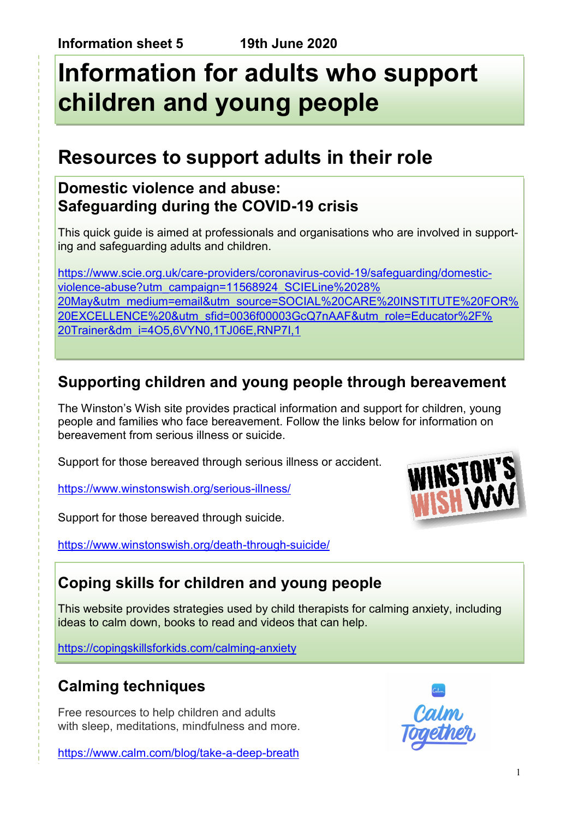# **Information for adults who support children and young people**

# **Resources to support adults in their role**

### **Domestic violence and abuse: Safeguarding during the COVID-19 crisis**

This quick guide is aimed at professionals and organisations who are involved in supporting and safeguarding adults and children.

[https://www.scie.org.uk/care-providers/coronavirus-covid-19/safeguarding/domestic](https://www.scie.org.uk/care-providers/coronavirus-covid-19/safeguarding/domestic-violence-abuse?utm_campaign=11568924_SCIELine%2028%20May&utm_medium=email&utm_source=SOCIAL%20CARE%20INSTITUTE%20FOR%20EXCELLENCE%20&utm_sfid=0036f00003GcQ7nAAF&utm_role=Educato)[violence-abuse?utm\\_campaign=11568924\\_SCIELine%2028%](https://www.scie.org.uk/care-providers/coronavirus-covid-19/safeguarding/domestic-violence-abuse?utm_campaign=11568924_SCIELine%2028%20May&utm_medium=email&utm_source=SOCIAL%20CARE%20INSTITUTE%20FOR%20EXCELLENCE%20&utm_sfid=0036f00003GcQ7nAAF&utm_role=Educato) [20May&utm\\_medium=email&utm\\_source=SOCIAL%20CARE%20INSTITUTE%20FOR%](https://www.scie.org.uk/care-providers/coronavirus-covid-19/safeguarding/domestic-violence-abuse?utm_campaign=11568924_SCIELine%2028%20May&utm_medium=email&utm_source=SOCIAL%20CARE%20INSTITUTE%20FOR%20EXCELLENCE%20&utm_sfid=0036f00003GcQ7nAAF&utm_role=Educato) [20EXCELLENCE%20&utm\\_sfid=0036f00003GcQ7nAAF&utm\\_role=Educator%2F%](https://www.scie.org.uk/care-providers/coronavirus-covid-19/safeguarding/domestic-violence-abuse?utm_campaign=11568924_SCIELine%2028%20May&utm_medium=email&utm_source=SOCIAL%20CARE%20INSTITUTE%20FOR%20EXCELLENCE%20&utm_sfid=0036f00003GcQ7nAAF&utm_role=Educato) [20Trainer&dm\\_i=4O5,6VYN0,1TJ06E,RNP7I,1](https://www.scie.org.uk/care-providers/coronavirus-covid-19/safeguarding/domestic-violence-abuse?utm_campaign=11568924_SCIELine%2028%20May&utm_medium=email&utm_source=SOCIAL%20CARE%20INSTITUTE%20FOR%20EXCELLENCE%20&utm_sfid=0036f00003GcQ7nAAF&utm_role=Educato)

### **Supporting children and young people through bereavement**

The Winston's Wish site provides practical information and support for children, young people and families who face bereavement. Follow the links below for information on bereavement from serious illness or suicide.

Support for those bereaved through serious illness or accident.

<https://www.winstonswish.org/serious-illness/>

Support for those bereaved through suicide.

<https://www.winstonswish.org/death-through-suicide/>



### **Coping skills for children and young people**

This website provides strategies used by child therapists for calming anxiety, including ideas to calm down, books to read and videos that can help.

<https://copingskillsforkids.com/calming-anxiety>

### **Calming techniques**

Free resources to help children and adults with sleep, meditations, mindfulness and more.

<https://www.calm.com/blog/take-a-deep-breath>

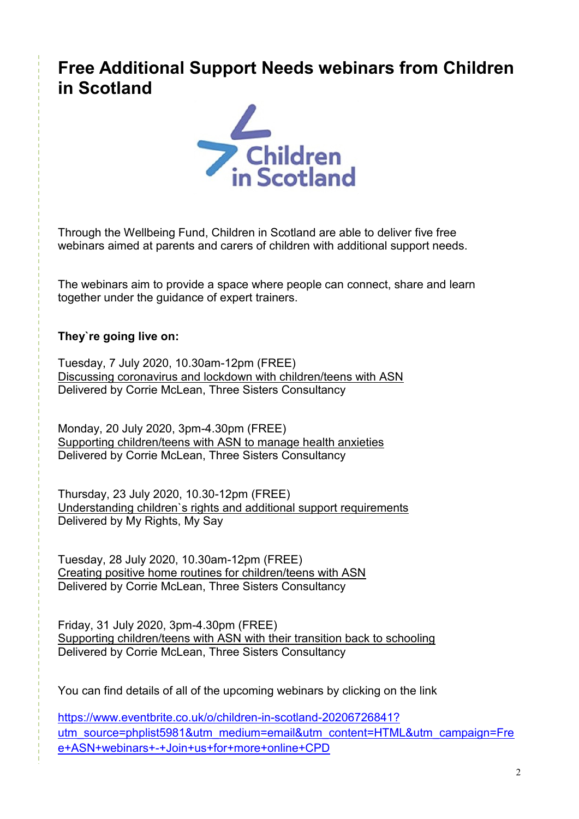## **Free Additional Support Needs webinars from Children in Scotland**



Through the Wellbeing Fund, Children in Scotland are able to deliver five free webinars aimed at parents and carers of children with additional support needs.

The webinars aim to provide a space where people can connect, share and learn together under the guidance of expert trainers.

#### **They`re going live on:**

Tuesday, 7 July 2020, 10.30am-12pm (FREE) Discussing coronavirus and lockdown with children/teens with ASN Delivered by Corrie McLean, Three Sisters Consultancy

Monday, 20 July 2020, 3pm-4.30pm (FREE) Supporting children/teens with ASN to manage health anxieties Delivered by Corrie McLean, Three Sisters Consultancy

Thursday, 23 July 2020, 10.30-12pm (FREE) Understanding children`s rights and additional support requirements Delivered by My Rights, My Say

Tuesday, 28 July 2020, 10.30am-12pm (FREE) Creating positive home routines for children/teens with ASN Delivered by Corrie McLean, Three Sisters Consultancy

Friday, 31 July 2020, 3pm-4.30pm (FREE) Supporting children/teens with ASN with their transition back to schooling Delivered by Corrie McLean, Three Sisters Consultancy

You can find details of all of the upcoming webinars by clicking on the link

[https://www.eventbrite.co.uk/o/children-in-scotland-20206726841?](https://www.eventbrite.co.uk/o/children-in-scotland-20206726841?utm_source=phplist5981&utm_medium=email&utm_content=HTML&utm_campaign=Free+ASN+webinars+-+Join+us+for+more+online+CPD) [utm\\_source=phplist5981&utm\\_medium=email&utm\\_content=HTML&utm\\_campaign=Fre](https://www.eventbrite.co.uk/o/children-in-scotland-20206726841?utm_source=phplist5981&utm_medium=email&utm_content=HTML&utm_campaign=Free+ASN+webinars+-+Join+us+for+more+online+CPD) [e+ASN+webinars+-+Join+us+for+more+online+CPD](https://www.eventbrite.co.uk/o/children-in-scotland-20206726841?utm_source=phplist5981&utm_medium=email&utm_content=HTML&utm_campaign=Free+ASN+webinars+-+Join+us+for+more+online+CPD)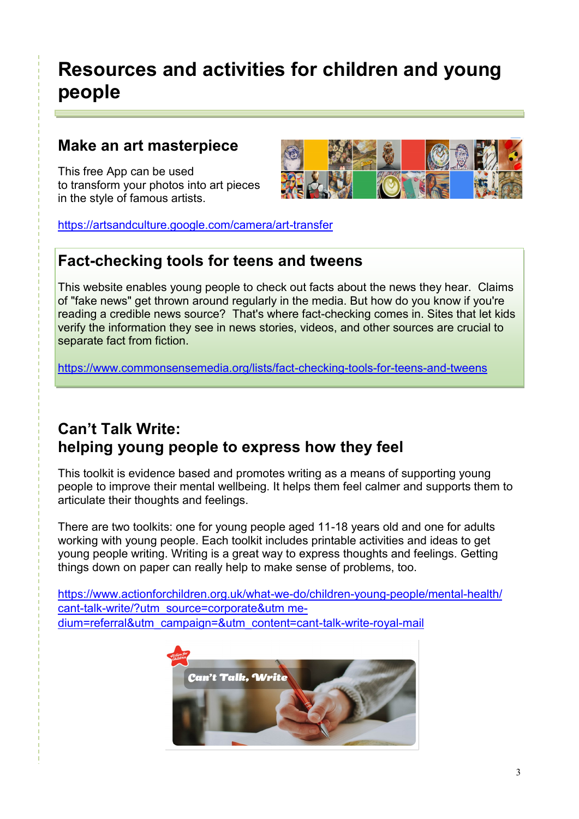# **Resources and activities for children and young people**

#### **Make an art masterpiece**

This free App can be used to transform your photos into art pieces in the style of famous artists.



<https://artsandculture.google.com/camera/art-transfer>

#### **Fact-checking tools for teens and tweens**

This website enables young people to check out facts about the news they hear. Claims of "fake news" get thrown around regularly in the media. But how do you know if you're reading a credible news source? That's where fact-checking comes in. Sites that let kids verify the information they see in news stories, videos, and other sources are crucial to separate fact from fiction.

<https://www.commonsensemedia.org/lists/fact-checking-tools-for-teens-and-tweens>

#### **Can't Talk Write: helping young people to express how they feel**

This toolkit is evidence based and promotes writing as a means of supporting young people to improve their mental wellbeing. It helps them feel calmer and supports them to articulate their thoughts and feelings.

There are two toolkits: one for young people aged 11-18 years old and one for adults working with young people. Each toolkit includes printable activities and ideas to get young people writing. Writing is a great way to express thoughts and feelings. Getting things down on paper can really help to make sense of problems, too.

[https://www.actionforchildren.org.uk/what-we-do/children-young-people/mental-health/](https://www.actionforchildren.org.uk/what-we-do/children-young-people/mental-health/cant-talk-write/?utm_source=corporate&utm%20medium=referral&utm_campaign=&utm_content=cant-talk-write-royal-mail) [cant-talk-write/?utm\\_source=corporate&utm me](https://www.actionforchildren.org.uk/what-we-do/children-young-people/mental-health/cant-talk-write/?utm_source=corporate&utm%20medium=referral&utm_campaign=&utm_content=cant-talk-write-royal-mail)[dium=referral&utm\\_campaign=&utm\\_content=cant-talk-write-royal-mail](https://www.actionforchildren.org.uk/what-we-do/children-young-people/mental-health/cant-talk-write/?utm_source=corporate&utm%20medium=referral&utm_campaign=&utm_content=cant-talk-write-royal-mail)